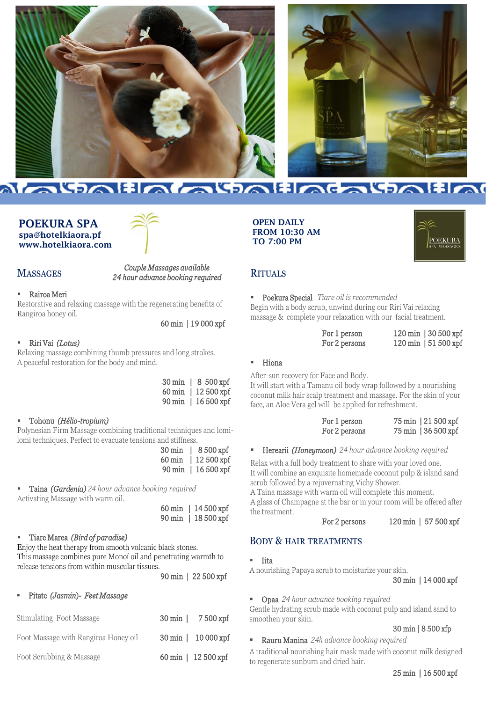



# <u>Maipalia alpalinealpalia</u>

#### POEKURA SPA spa@hotelkiaora.pf www.hotelkiaora.com



## **MASSAGES**

#### *Couple Massages available 24 hour advance booking required*

#### Rairoa Meri

Restorative and relaxing massage with the regenerating benefits of Rangiroa honey oil.

#### 60 min | 19 000 xpf

#### ▪ Riri Vai *(Lotus)*

Relaxing massage combining thumb pressures and long strokes. A peaceful restoration for the body and mind.

| 30 min   8 500 xpf  |
|---------------------|
| 60 min   12 500 xpf |
| 90 min   16 500 xpf |

#### ▪ Tohonu *(Hélio-tropium)*

Polynesian Firm Massage combining traditional techniques and lomilomi techniques. Perfect to evacuate tensions and stiffness.

| $30 \,\mathrm{min}$ |              | 8 500 xpf  |
|---------------------|--------------|------------|
| $60 \,\mathrm{min}$ |              | 12 500 xpf |
| $90 \,\mathrm{min}$ | $\mathbf{L}$ | 16 500 xpf |

▪ Taina *(Gardenia) 24 hour advance booking required*  Activating Massage with warm oil.

> 60 min | 14 500 xpf 90 min | 18 500 xpf

#### ▪ Tiare Marea *(Bird of paradise)*

Enjoy the heat therapy from smooth volcanic black stones. This massage combines pure Monoï oil and penetrating warmth to release tensions from within muscular tissues.

90 min | 22 500 xpf

#### ▪ Pitate *(Jasmin*)- *Feet Massage*

| Stimulating Foot Massage             | 30 min   7500 xpf   |
|--------------------------------------|---------------------|
| Foot Massage with Rangiroa Honey oil | 30 min   10 000 xpf |
| Foot Scrubbing & Massage             | 60 min   12 500 xpf |

OPEN DAILY FROM 10:30 AM TO 7:00 PM



#### **RITUALS**

▪ Poekura Special *Tiare oil is recommended*

Begin with a body scrub, unwind during our Riri Vai relaxing massage & complete your relaxation with our facial treatment.

| For 1 person  | $120 \,\mathrm{min}$   30 500 xpf |
|---------------|-----------------------------------|
| For 2 persons | $120 \,\mathrm{min}$   51 500 xpf |

#### **Hiona**

After-sun recovery for Face and Body.

It will start with a Tamanu oil body wrap followed by a nourishing coconut milk hair scalp treatment and massage. For the skin of your face, an Aloe Vera gel will be applied for refreshment.

| For 1 person  | 75 min   21 500 xpf |
|---------------|---------------------|
| For 2 persons | 75 min   36 500 xpf |

#### ▪ Herearii *(Honeymoon) 24 hour advance booking required*

Relax with a full body treatment to share with your loved one. It will combine an exquisite homemade coconut pulp & island sand scrub followed by a rejuvernating Vichy Shower.

A Taina massage with warm oil will complete this moment.

A glass of Champagne at the bar or in your room will be offered after the treatment.

#### For 2 persons 120 min | 57 500 xpf

## BODY & HAIR TREATMENTS

▪ Iita

A nourishing Papaya scrub to moisturize your skin.

30 min | 14 000 xpf

▪ Opaa *24 hour advance booking required* 

Gentle hydrating scrub made with coconut pulp and island sand to smoothen your skin.

#### 30 min | 8 500 xfp

▪ Rauru Manina *24h advance booking required* 

A traditional nourishing hair mask made with coconut milk designed to regenerate sunburn and dried hair.